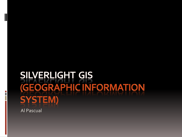## **SILVERLIGHT GIS (GEOGRAPHIC INFORMATION SYSTEM)** Al Pascual

İ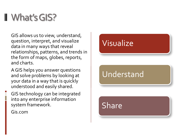## **No. 7 Media 18 Website Service Service Service Service Service Service Service Service Service Service Service S**

GIS allows us to view, understand, question, interpret, and visualize data in many ways that reveal relationships, patterns, and trends in the form of maps, globes, reports, and charts.

A GIS helps you answer questions and solve problems by looking at your data in a way that is quickly understood and easily shared.

GIS technology can be integrated into any enterprise information system framework.

Gis.com

### Visualize

## Understand

### Share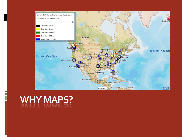

# WHY MAPS?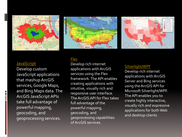





#### **[JavaScript](http://resources.esri.com/arcgisserver/index.cfm?fa=JSAPIs)**

Develop custom JavaScript applications that mashup ArcGIS services, Google Maps, and Bing Maps data. The ArcGIS JavaScript APIs take full advantage of powerful mapping, geocoding, and geoprocessing services.

#### [Flex](http://resources.esri.com/arcgisserver/apis/flex)

Develop rich internet applications with ArcGIS services using the Flex framework. The API enables creating applications with intuitive, visually rich and responsive user interface. The ArcGIS API for Flex takes full advantage of the powerful mapping, geocoding, and geoprocessing capabilities of ArcGIS services.

#### [Silverlight/WPF](http://resources.esri.com/arcgisserver/apis/silverlight)

Develop rich internet applications with ArcGIS Server and Bing services using the ArcGIS API for Microsoft Silverlight/WPF. The API enables you to create highly interactive, visually rich and expressive applications for both Web and desktop clients.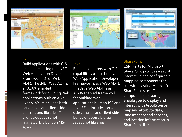





#### [.NET](http://resources.esri.com/arcgisserver/adf/dotnet)

Build applications with GIS capabilities using the .NET Web Application Developer Framework (.NET Web ADF). The .NET Web ADF is an AJAX-enabled framework for building Web applications built on ASP .Net AJAX. It includes both server side and client side controls and libraries. The client side JavaScript framework is built on MS-AJAX.

#### [Java](http://resources.esri.com/arcgisserver/adf/java)

Build applications with GIS capabilities using the Java Web Application Developer Framework (Java Web ADF). The Java Web ADF is an AJAX-enabled framework for building Web applications built on JSF and Java EE. It includes server side controls and client side behavior accessible via JavaScript libraries.

#### **[SharePoint](http://resources.esri.com/sharepoint)**

ESRI Parts for Microsoft SharePoint provides a set of interactive and configurable mapping components for use with existing Microsoft SharePoint sites. The components, or parts, enable you to display and interact with ArcGIS Server map and attribute data, Bing imagery and services, and location information in SharePoint lists.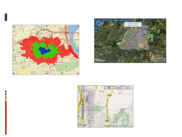



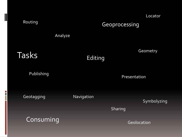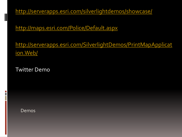<http://serverapps.esri.com/silverlightdemos/showcase/>

<http://maps.esri.com/Police/Default.aspx>

[http://serverapps.esri.com/SilverlightDemos/PrintMapApplicat](http://serverapps.esri.com/SilverlightDemos/PrintMapApplication.Web/) [ion.Web/](http://serverapps.esri.com/SilverlightDemos/PrintMapApplication.Web/)

Twitter Demo

Demos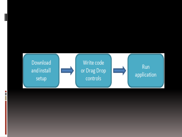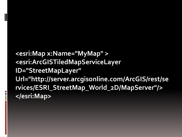**<esri:Map x:Name="MyMap" > <esri:ArcGISTiledMapServiceLayer ID="StreetMapLayer" Url="http://server.arcgisonline.com/ArcGIS/rest/se rvices/ESRI\_StreetMap\_World\_2D/MapServer"/> </esri:Map>**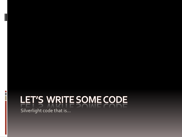# LET'S WRITE SOME CODE

Silverlight code that is...